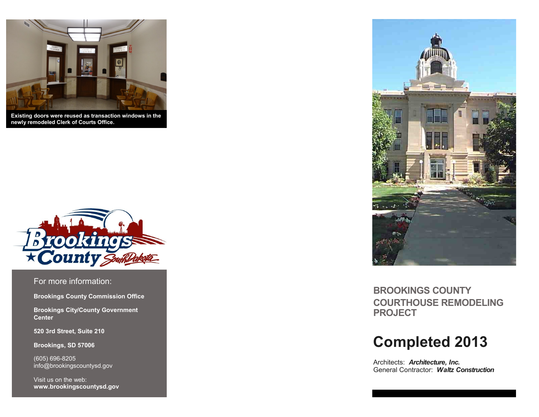

**Existing doors were reused as transaction windows in the newly remodeled Clerk of Courts Office.**



For more information:

**Brookings County Commission Office**

**Brookings City/County Government Center**

**520 3rd Street, Suite 210**

**Brookings, SD 57006**

(605) 696-8205 info@brookingscountysd.gov

Visit us on the web: **www.brookingscountysd.gov**



**BROOKINGS COUNTY COURTHOUSE REMODELING PROJECT**

# **Completed 2013**

Architects: *Architecture, Inc.* General Contractor: *Waltz Construction*